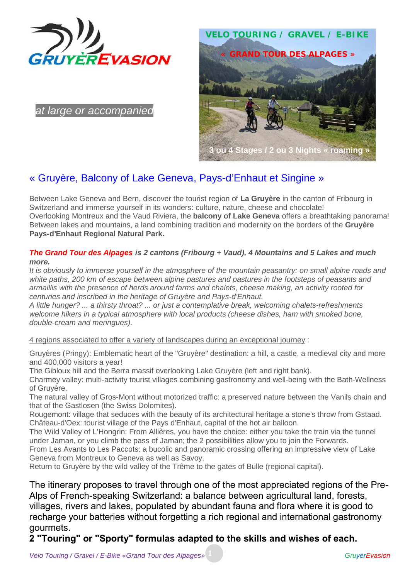

*at large or accompanied*

# **VELO TOURING / GRAVEL / E-BIKE** *« GRAND TOUR DES ALPAGES »* **3 ou 4 Stages / 2 ou 3 Nights « roaming »**

## « Gruyère, Balcony of Lake Geneva, Pays-d'Enhaut et Singine »

Between Lake Geneva and Bern, discover the tourist region of **La Gruyère** in the canton of Fribourg in Switzerland and immerse yourself in its wonders: culture, nature, cheese and chocolate! Overlooking Montreux and the Vaud Riviera, the **balcony of Lake Geneva** offers a breathtaking panorama! Between lakes and mountains, a land combining tradition and modernity on the borders of the **Gruyère Pays-d'Enhaut Regional Natural Park.**

#### *The Grand Tour des Alpages is 2 cantons (Fribourg + Vaud), 4 Mountains and 5 Lakes and much more.*

*It is obviously to immerse yourself in the atmosphere of the mountain peasantry: on small alpine roads and white paths, 200 km of escape between alpine pastures and pastures in the footsteps of peasants and armaillis with the presence of herds around farms and chalets, cheese making, an activity rooted for centuries and inscribed in the heritage of Gruyère and Pays-d'Enhaut.*

*A little hunger? ... a thirsty throat? ... or just a contemplative break, welcoming chalets-refreshments welcome hikers in a typical atmosphere with local products (cheese dishes, ham with smoked bone, double-cream and meringues).*

4 regions associated to offer a variety of landscapes during an exceptional journey :

Gruyères (Pringy): Emblematic heart of the "Gruyère" destination: a hill, a castle, a medieval city and more and 400,000 visitors a year!

The Gibloux hill and the Berra massif overlooking Lake Gruyère (left and right bank).

Charmey valley: multi-activity tourist villages combining gastronomy and well-being with the Bath-Wellness of Gruyère.

The natural valley of Gros-Mont without motorized traffic: a preserved nature between the Vanils chain and that of the Gastlosen (the Swiss Dolomites).

Rougemont: village that seduces with the beauty of its architectural heritage a stone's throw from Gstaad. Château-d'Oex: tourist village of the Pays d'Enhaut, capital of the hot air balloon.

The Wild Valley of L'Hongrin: From Allières, you have the choice: either you take the train via the tunnel under Jaman, or you climb the pass of Jaman; the 2 possibilities allow you to join the Forwards.

From Les Avants to Les Paccots: a bucolic and panoramic crossing offering an impressive view of Lake Geneva from Montreux to Geneva as well as Savoy.

Return to Gruyère by the wild valley of the Trême to the gates of Bulle (regional capital).

The itinerary proposes to travel through one of the most appreciated regions of the Pre- Alps of French-speaking Switzerland: a balance between agricultural land, forests, villages, rivers and lakes, populated by abundant fauna and flora where it is good to recharge your batteries without forgetting a rich regional and international gastronomy gourmets.

## **2 "Touring" or "Sporty" formulas adapted to the skills and wishes of each.**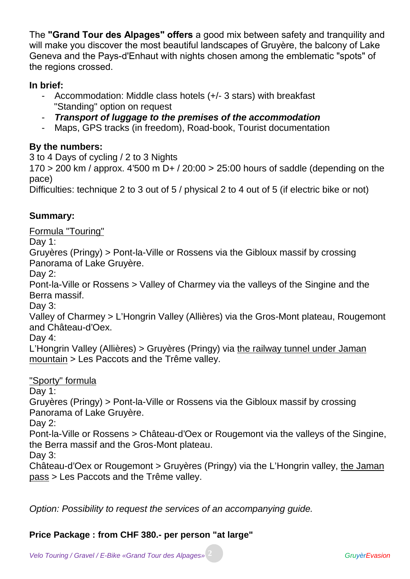The **"Grand Tour des Alpages" offers** a good mix between safety and tranquility and will make you discover the most beautiful landscapes of Gruyère, the balcony of Lake Geneva and the Pays-d'Enhaut with nights chosen among the emblematic "spots" of the regions crossed.

## **In brief:**

- Accommodation: Middle class hotels (+/- 3 stars) with breakfast "Standing" option on request
- *Transport of luggage to the premises of the accommodation*
- Maps, GPS tracks (in freedom), Road-book, Tourist documentation

## **By the numbers:**

3 to 4 Days of cycling / 2 to 3 Nights

 $170 > 200$  km / approx.  $4'500$  m D+ /  $20:00 > 25:00$  hours of saddle (depending on the pace)

Difficulties: technique 2 to 3 out of 5 / physical 2 to 4 out of 5 (if electric bike or not)

## **Summary:**

Formula "Touring"

Day 1:

Gruyères (Pringy) > Pont-la-Ville or Rossens via the Gibloux massif by crossing Panorama of Lake Gruyère.

Day 2:

Pont-la-Ville or Rossens > Valley of Charmey via the valleys of the Singine and the Berra massif.

Day 3:

Valley of Charmey > L'Hongrin Valley (Allières) via the Gros-Mont plateau, Rougemont and Château-d'Oex.

Day 4:

L'Hongrin Valley (Allières) > Gruyères (Pringy) via the railway tunnel under Jaman mountain > Les Paccots and the Trême valley.

## "Sporty" formula

Day 1:

Gruyères (Pringy) > Pont-la-Ville or Rossens via the Gibloux massif by crossing Panorama of Lake Gruyère.

Day 2:

Pont-la-Ville or Rossens > Château-d'Oex or Rougemont via the valleys of the Singine, the Berra massif and the Gros-Mont plateau.

Day 3:

Château-d'Oex or Rougemont > Gruyères (Pringy) via the L'Hongrin valley, the Jaman pass > Les Paccots and the Trême valley.

*Option: Possibility to request the services of an accompanying guide.*

## **Price Package : from CHF 380.- per person "at large"**

*Velo Touring / Gravel / E-Bike «Grand Tour des Alpages»* **2** *GruyèrEvasion*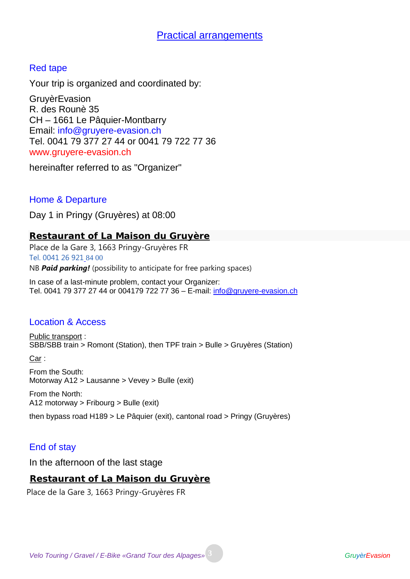## Red tape

Your trip is organized and coordinated by:

**GruyèrEvasion** R. des Rounè 35 CH – 1661 Le Pâquier-Montbarry Email: info@gruyere-evasion.ch Tel. 0041 79 377 27 44 or 0041 79 722 77 36 www.gruyere-evasion.ch

hereinafter referred to as "Organizer"

## Home & Departure

Day 1 in Pringy (Gruyères) at 08:00

**Restaurant of La Maison du Gruyère**

Place de la Gare 3, 1663 Pringy-Gruyères FR Tel. 0041 26 921 84 00 NB *Paid parking!* (possibility to anticipate for free parking spaces)

In case of a last-minute problem, contact your Organizer: Tel. 0041 79 377 27 44 or 004179 722 77 36 – E-mail: info@gruyere-evasion.ch

## Location & Access

Public transport : SBB/SBB train > Romont (Station), then TPF train > Bulle > Gruyères (Station)

Car :

From the South: Motorway A12 > Lausanne > Vevey > Bulle (exit)

From the North: A12 motorway > Fribourg > Bulle (exit)

then bypass road H189 > Le Pâquier (exit), cantonal road > Pringy (Gruyères)

## End of stay

In the afternoon of the last stage

**Restaurant of La Maison du Gruyère**

Place de la Gare 3, 1663 Pringy-Gruyères FR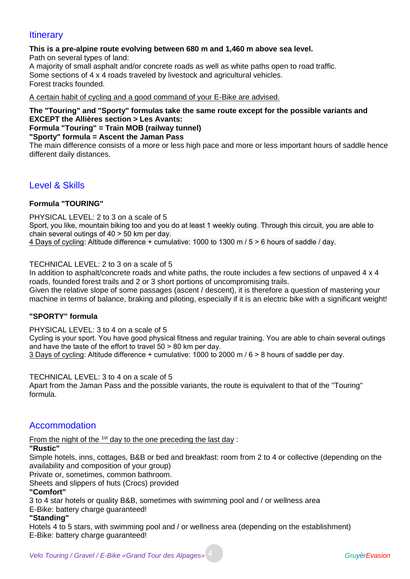## **Itinerary**

#### **This is a pre-alpine route evolving between 680 m and 1,460 m above sea level.**

Path on several types of land:

A majority of small asphalt and/or concrete roads as well as white paths open to road traffic. Some sections of 4 x 4 roads traveled by livestock and agricultural vehicles. Forest tracks founded.

A certain habit of cycling and a good command of your E-Bike are advised.

## **The "Touring" and "Sporty" formulas take the same route except for the possible variants and EXCEPT the Allières section > Les Avants:**

## **Formula "Touring" = Train MOB (railway tunnel)**

**"Sporty" formula = Ascent the Jaman Pass**

The main difference consists of a more or less high pace and more or less important hours of saddle hence different daily distances.

## Level & Skills

#### **Formula "TOURING"**

PHYSICAL LEVEL: 2 to 3 on a scale of 5 Sport, you like, mountain biking too and you do at least 1 weekly outing. Through this circuit, you are able to chain several outings of 40 > 50 km per day. 4 Days of cycling: Altitude difference + cumulative: 1000 to 1300 m / 5 > 6 hours of saddle / day.

TECHNICAL LEVEL: 2 to 3 on a scale of 5

In addition to asphalt/concrete roads and white paths, the route includes a few sections of unpaved 4 x 4 roads, founded forest trails and 2 or 3 short portions of uncompromising trails.

Given the relative slope of some passages (ascent / descent), it is therefore a question of mastering your machine in terms of balance, braking and piloting, especially if it is an electric bike with a significant weight!

#### **"SPORTY" formula**

PHYSICAL LEVEL: 3 to 4 on a scale of 5

Cycling is your sport. You have good physical fitness and regular training. You are able to chain several outings and have the taste of the effort to travel 50 > 80 km per day.

3 Days of cycling: Altitude difference + cumulative: 1000 to 2000 m / 6 > 8 hours of saddle per day.

TECHNICAL LEVEL: 3 to 4 on a scale of 5

Apart from the Jaman Pass and the possible variants, the route is equivalent to that of the "Touring" formula.

## Accommodation

From the night of the  $1st$  day to the one preceding the last day :

#### **"Rustic"**

Simple hotels, inns, cottages, B&B or bed and breakfast: room from 2 to 4 or collective (depending on the availability and composition of your group)

Private or, sometimes, common bathroom.

Sheets and slippers of huts (Crocs) provided

#### **"Comfort"**

3 to 4 star hotels or quality B&B, sometimes with swimming pool and / or wellness area

E-Bike: battery charge guaranteed!

#### **"Standing"**

Hotels 4 to 5 stars, with swimming pool and / or wellness area (depending on the establishment) E-Bike: battery charge guaranteed!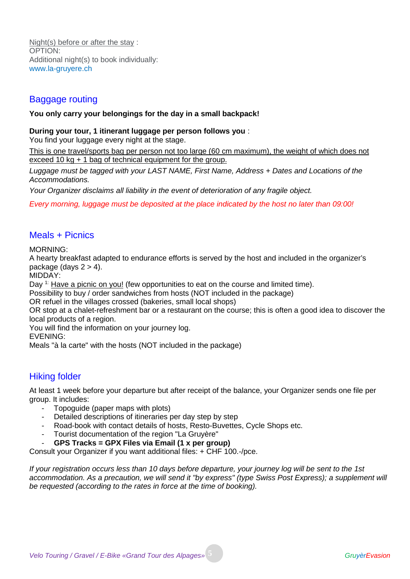Night(s) before or after the stay : OPTION: Additional night(s) to book individually: www.la-gruyere.ch

## Baggage routing

#### **You only carry your belongings for the day in a small backpack!**

#### **During your tour, 1 itinerant luggage per person follows you** :

You find your luggage every night at the stage.

This is one travel/sports bag per person not too large (60 cm maximum), the weight of which does not exceed 10 kg + 1 bag of technical equipment for the group.

*Luggage must be tagged with your LAST NAME, First Name, Address + Dates and Locations of the Accommodations.*

*Your Organizer disclaims all liability in the event of deterioration of any fragile object.*

*Every morning, luggage must be deposited at the place indicated by the host no later than 09:00!*

## Meals + Picnics

MORNING:

A hearty breakfast adapted to endurance efforts is served by the host and included in the organizer's package (days  $2 > 4$ ).

MIDDAY:

Day <sup>1:</sup> Have a picnic on you! (few opportunities to eat on the course and limited time).

Possibility to buy / order sandwiches from hosts (NOT included in the package)

OR refuel in the villages crossed (bakeries, small local shops)

OR stop at a chalet-refreshment bar or a restaurant on the course; this is often a good idea to discover the local products of a region.

You will find the information on your journey log.

EVENING:

Meals "à la carte" with the hosts (NOT included in the package)

## Hiking folder

At least 1 week before your departure but after receipt of the balance, your Organizer sends one file per group. It includes:

- Topoguide (paper maps with plots)
- Detailed descriptions of itineraries per day step by step
- Road-book with contact details of hosts, Resto-Buvettes, Cycle Shops etc.
- Tourist documentation of the region "La Gruyère"
- **GPS Tracks = GPX Files via Email (1 x per group)**

Consult your Organizer if you want additional files: + CHF 100.-/pce.

*If your registration occurs less than 10 days before departure, your journey log will be sent to the 1st accommodation. As a precaution, we will send it "by express" (type Swiss Post Express); a supplement will be requested (according to the rates in force at the time of booking).*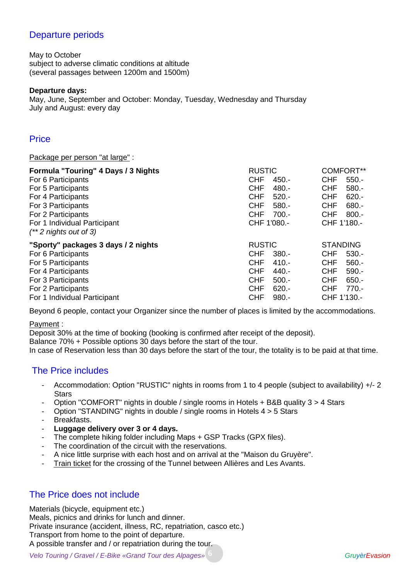## Departure periods

May to October subject to adverse climatic conditions at altitude (several passages between 1200m and 1500m)

#### **Departure days:**

May, June, September and October: Monday, Tuesday, Wednesday and Thursday July and August: every day

#### **Price**

Package per person "at large" :

| Formula "Touring" 4 Days / 3 Nights<br>For 6 Participants<br>For 5 Participants<br>For 4 Participants<br>For 3 Participants<br>For 2 Participants<br>For 1 Individual Participant<br>$(**2$ nights out of 3) | <b>RUSTIC</b><br><b>CHF</b><br>$450 -$<br><b>CHF</b><br>480.-<br><b>CHF</b><br>$520 -$<br><b>CHF</b><br>$580 -$<br><b>CHF</b><br>$700 -$<br>CHF 1'080.-           | <b>COMFORT**</b><br><b>CHF</b><br>$550 -$<br><b>CHF</b><br>$580 -$<br><b>CHF</b><br>$620 -$<br><b>CHF</b><br>$680 -$<br><b>CHF</b><br>$800 -$<br>CHF 1'180.- |
|--------------------------------------------------------------------------------------------------------------------------------------------------------------------------------------------------------------|-------------------------------------------------------------------------------------------------------------------------------------------------------------------|--------------------------------------------------------------------------------------------------------------------------------------------------------------|
| "Sporty" packages 3 days / 2 nights<br>For 6 Participants<br>For 5 Participants<br>For 4 Participants<br>For 3 Participants<br>For 2 Participants<br>For 1 Individual Participant                            | <b>RUSTIC</b><br><b>CHF</b><br>$380 -$<br><b>CHF</b><br>$410 -$<br><b>CHF</b><br>440.-<br><b>CHF</b><br>$500 -$<br><b>CHF</b><br>$620 -$<br><b>CHF</b><br>$980 -$ | <b>STANDING</b><br><b>CHF</b><br>$530 -$<br><b>CHF</b><br>$560 -$<br><b>CHF</b><br>$590 -$<br><b>CHF</b><br>$650 -$<br><b>CHF</b><br>$770 -$<br>CHF 1'130.-  |

Beyond 6 people, contact your Organizer since the number of places is limited by the accommodations.

Payment :

Deposit 30% at the time of booking (booking is confirmed after receipt of the deposit).

Balance 70% + Possible options 30 days before the start of the tour.

In case of Reservation less than 30 days before the start of the tour, the totality is to be paid at that time.

## The Price includes

- Accommodation: Option "RUSTIC" nights in rooms from 1 to 4 people (subject to availability) +/- 2 **Stars**
- Option "COMFORT" nights in double / single rooms in Hotels + B&B quality 3 > 4 Stars
- Option "STANDING" nights in double / single rooms in Hotels 4 > 5 Stars
- Breakfasts.
- **Luggage delivery over 3 or 4 days.**
- The complete hiking folder including Maps + GSP Tracks (GPX files).
- The coordination of the circuit with the reservations.
- A nice little surprise with each host and on arrival at the "Maison du Gruyère".
- Train ticket for the crossing of the Tunnel between Allières and Les Avants.

## The Price does not include

Materials (bicycle, equipment etc.) Meals, picnics and drinks for lunch and dinner. Private insurance (accident, illness, RC, repatriation, casco etc.) Transport from home to the point of departure. A possible transfer and / or repatriation during the tour.

*Velo Touring / Gravel / E-Bike «Grand Tour des Alpages»* **6** *GruyèrEvasion*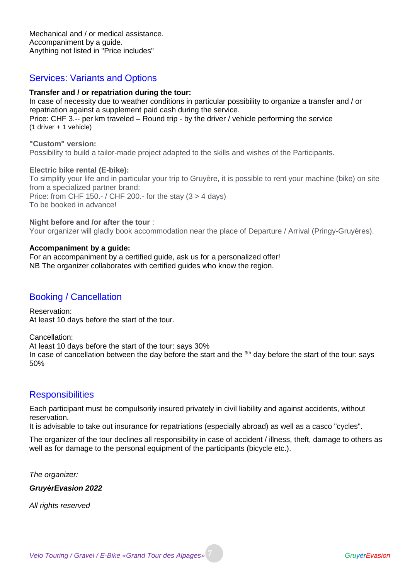Mechanical and / or medical assistance. Accompaniment by a guide. Anything not listed in "Price includes"

## Services: Variants and Options

#### **Transfer and / or repatriation during the tour:**

In case of necessity due to weather conditions in particular possibility to organize a transfer and / or repatriation against a supplement paid cash during the service. Price: CHF 3.-- per km traveled – Round trip - by the driver / vehicle performing the service (1 driver + 1 vehicle)

**"Custom" version:** Possibility to build a tailor-made project adapted to the skills and wishes of the Participants.

#### **Electric bike rental (E-bike):**

To simplify your life and in particular your trip to Gruyère, it is possible to rent your machine (bike) on site from a specialized partner brand: Price: from CHF 150.- / CHF 200.- for the stay (3 > 4 days) To be booked in advance!

#### **Night before and /or after the tour** :

Your organizer will gladly book accommodation near the place of Departure / Arrival (Pringy-Gruyères).

#### **Accompaniment by a guide:**

For an accompaniment by a certified guide, ask us for a personalized offer! NB The organizer collaborates with certified guides who know the region.

#### Booking / Cancellation

Reservation: At least 10 days before the start of the tour.

Cancellation:

At least 10 days before the start of the tour: says 30% In case of cancellation between the day before the start and the <sup>9th</sup> day before the start of the tour: says 50%

#### **Responsibilities**

Each participant must be compulsorily insured privately in civil liability and against accidents, without reservation.

It is advisable to take out insurance for repatriations (especially abroad) as well as a casco "cycles".

The organizer of the tour declines all responsibility in case of accident / illness, theft, damage to others as well as for damage to the personal equipment of the participants (bicycle etc.).

*The organizer:*

*GruyèrEvasion 2022*

*All rights reserved*